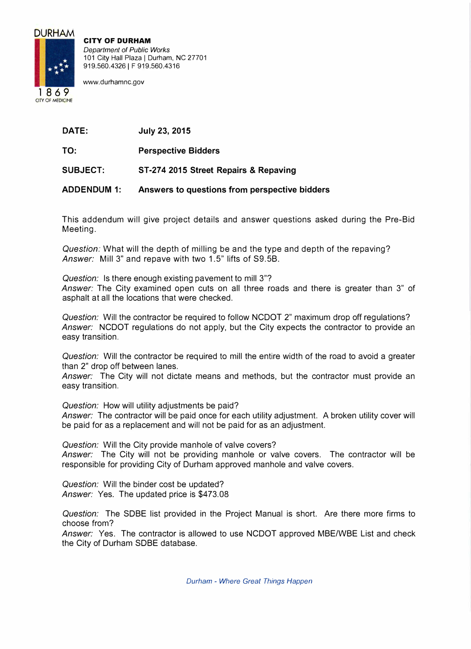

**CITY OF DURHAM**  *Department of Public Works*  101 City Hall Plaza | Durham, NC 27701 919.560.4326 | F 919.560.4316

www.durhamnc.gov

**DATE: July 23, 2015** 

**TO: Perspective Bidders** 

**SUBJECT: ST-274 2015 Street Repairs & Repaving** 

**ADDENDUM 1: Answers to questions from perspective bidders** 

This addendum will give project details and answer questions asked during the Pre-Bid Meeting.

*Question:* What will the depth of milling be and the type and depth of the repaving? *Answer:* Mill 3" and repave with two 1.5" lifts of S9.5B.

*Question:* Is there enough existing pavement to mill 3"? *Answer:* The City examined open cuts on all three roads and there is greater than 3" of asphalt at all the locations that were checked.

*Question:* Will the contractor be required to follow NCDOT 2" maximum drop off regulations? *Answer:* NCDOT regulations do not apply, but the City expects the contractor to provide an easy transition.

*Question:* Will the contractor be required to mill the entire width of the road to avoid a greater than 2" drop off between lanes.

*Answer:* The City will not dictate means and methods, but the contractor must provide an easy transition.

*Question:* How will utility adjustments be paid?

*Answer:* The contractor will be paid once for each utility adjustment. A broken utility cover will be paid for as a replacement and will not be paid for as an adjustment.

*Question:* Will the City provide manhole of valve covers? *Answer:* The City will not be providing manhole or valve covers. The contractor will be responsible for providing City of Durham approved manhole and valve covers.

*Question:* Will the binder cost be updated? *Answer:* Yes. The updated price is \$473.08

*Question:* The SOBE list provided in the Project Manual is short. Are there more firms to choose from?

*Answer:* Yes. The contractor is allowed to use NCDOT approved MBE/WBE List and check the City of Durham SOBE database.

*Durham - Where Great Things Happen*